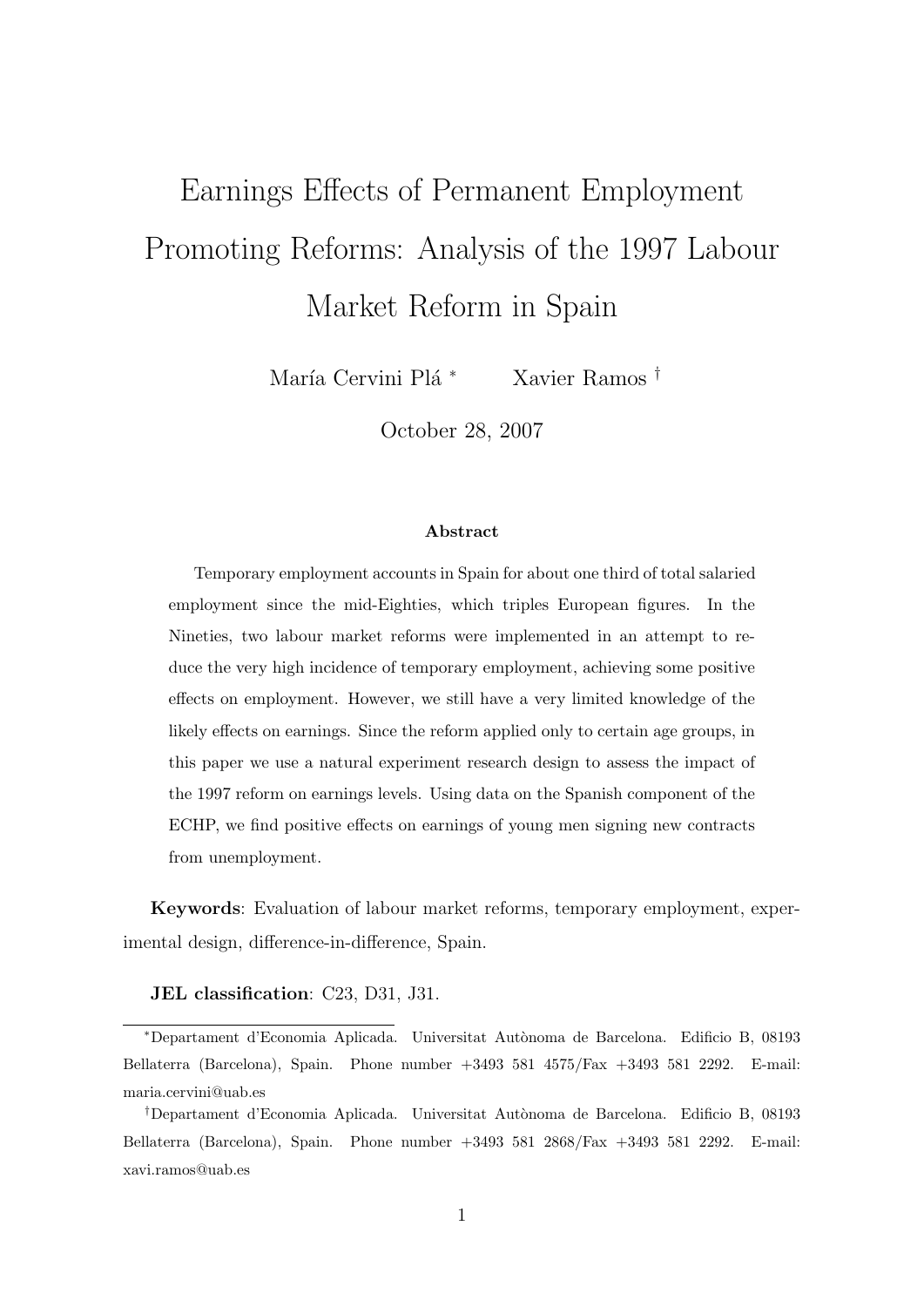# Earnings Effects of Permanent Employment Promoting Reforms: Analysis of the 1997 Labour Market Reform in Spain

María Cervini Plá<sup>\*</sup> Xavier Ramos †

October 28, 2007

#### Abstract

Temporary employment accounts in Spain for about one third of total salaried employment since the mid-Eighties, which triples European figures. In the Nineties, two labour market reforms were implemented in an attempt to reduce the very high incidence of temporary employment, achieving some positive effects on employment. However, we still have a very limited knowledge of the likely effects on earnings. Since the reform applied only to certain age groups, in this paper we use a natural experiment research design to assess the impact of the 1997 reform on earnings levels. Using data on the Spanish component of the ECHP, we find positive effects on earnings of young men signing new contracts from unemployment.

Keywords: Evaluation of labour market reforms, temporary employment, experimental design, difference-in-difference, Spain.

#### JEL classification: C23, D31, J31.

<sup>∗</sup>Departament d'Economia Aplicada. Universitat Aut`onoma de Barcelona. Edificio B, 08193 Bellaterra (Barcelona), Spain. Phone number +3493 581 4575/Fax +3493 581 2292. E-mail: maria.cervini@uab.es

<sup>†</sup>Departament d'Economia Aplicada. Universitat Aut`onoma de Barcelona. Edificio B, 08193 Bellaterra (Barcelona), Spain. Phone number +3493 581 2868/Fax +3493 581 2292. E-mail: xavi.ramos@uab.es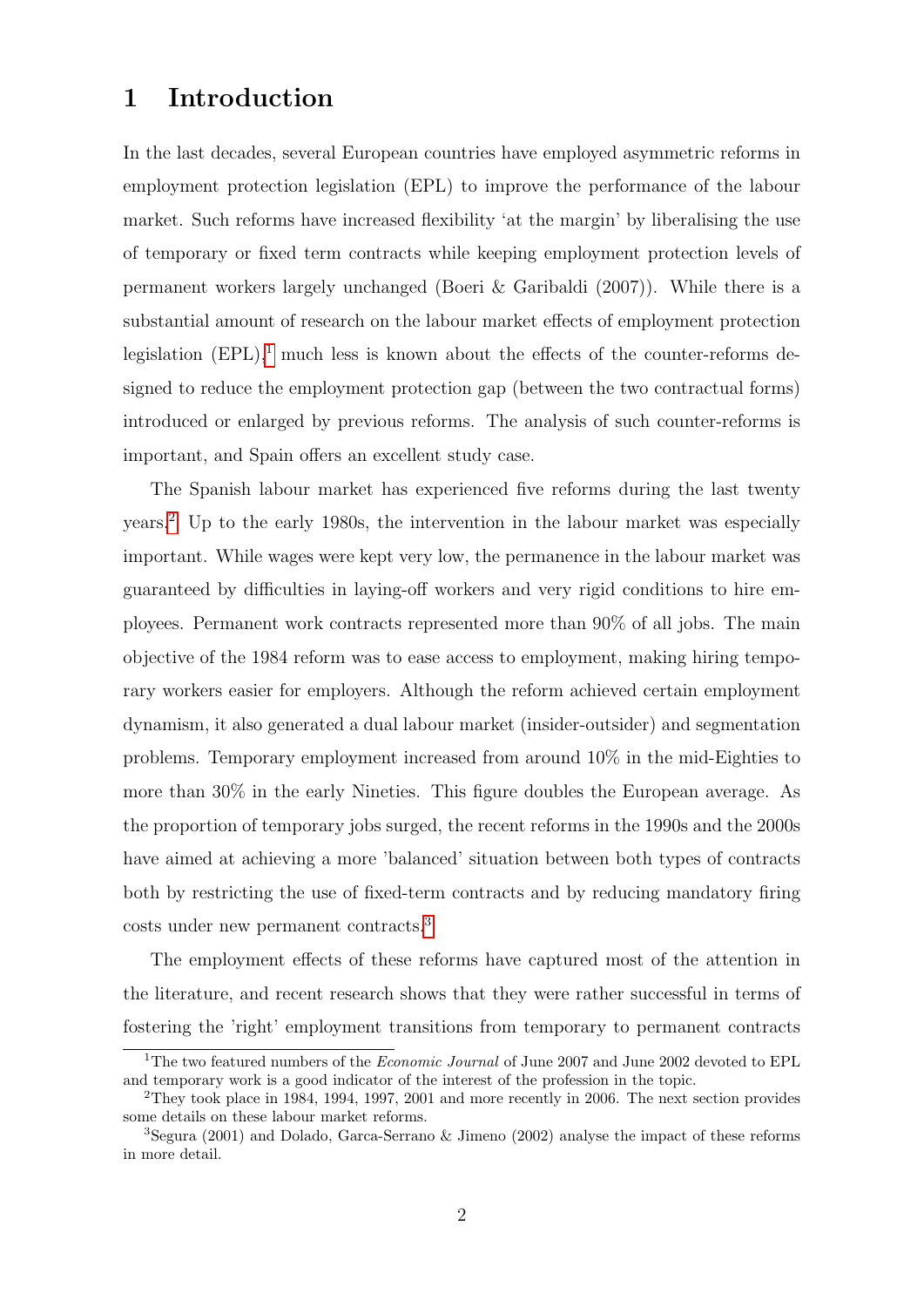## 1 Introduction

In the last decades, several European countries have employed asymmetric reforms in employment protection legislation (EPL) to improve the performance of the labour market. Such reforms have increased flexibility 'at the margin' by liberalising the use of temporary or fixed term contracts while keeping employment protection levels of permanent workers largely unchanged (Boeri & Garibaldi (2007)). While there is a substantial amount of research on the labour market effects of employment protection legislation  $(EPL)$ ,<sup>[1](#page-1-0)</sup> much less is known about the effects of the counter-reforms designed to reduce the employment protection gap (between the two contractual forms) introduced or enlarged by previous reforms. The analysis of such counter-reforms is important, and Spain offers an excellent study case.

The Spanish labour market has experienced five reforms during the last twenty years.[2](#page-1-1) Up to the early 1980s, the intervention in the labour market was especially important. While wages were kept very low, the permanence in the labour market was guaranteed by difficulties in laying-off workers and very rigid conditions to hire employees. Permanent work contracts represented more than 90% of all jobs. The main objective of the 1984 reform was to ease access to employment, making hiring temporary workers easier for employers. Although the reform achieved certain employment dynamism, it also generated a dual labour market (insider-outsider) and segmentation problems. Temporary employment increased from around 10% in the mid-Eighties to more than 30% in the early Nineties. This figure doubles the European average. As the proportion of temporary jobs surged, the recent reforms in the 1990s and the 2000s have aimed at achieving a more 'balanced' situation between both types of contracts both by restricting the use of fixed-term contracts and by reducing mandatory firing costs under new permanent contracts.[3](#page-1-2)

The employment effects of these reforms have captured most of the attention in the literature, and recent research shows that they were rather successful in terms of fostering the 'right' employment transitions from temporary to permanent contracts

<span id="page-1-0"></span><sup>&</sup>lt;sup>1</sup>The two featured numbers of the *Economic Journal* of June 2007 and June 2002 devoted to EPL and temporary work is a good indicator of the interest of the profession in the topic.

<span id="page-1-1"></span><sup>2</sup>They took place in 1984, 1994, 1997, 2001 and more recently in 2006. The next section provides some details on these labour market reforms.

<span id="page-1-2"></span><sup>3</sup>Segura (2001) and Dolado, Garca-Serrano & Jimeno (2002) analyse the impact of these reforms in more detail.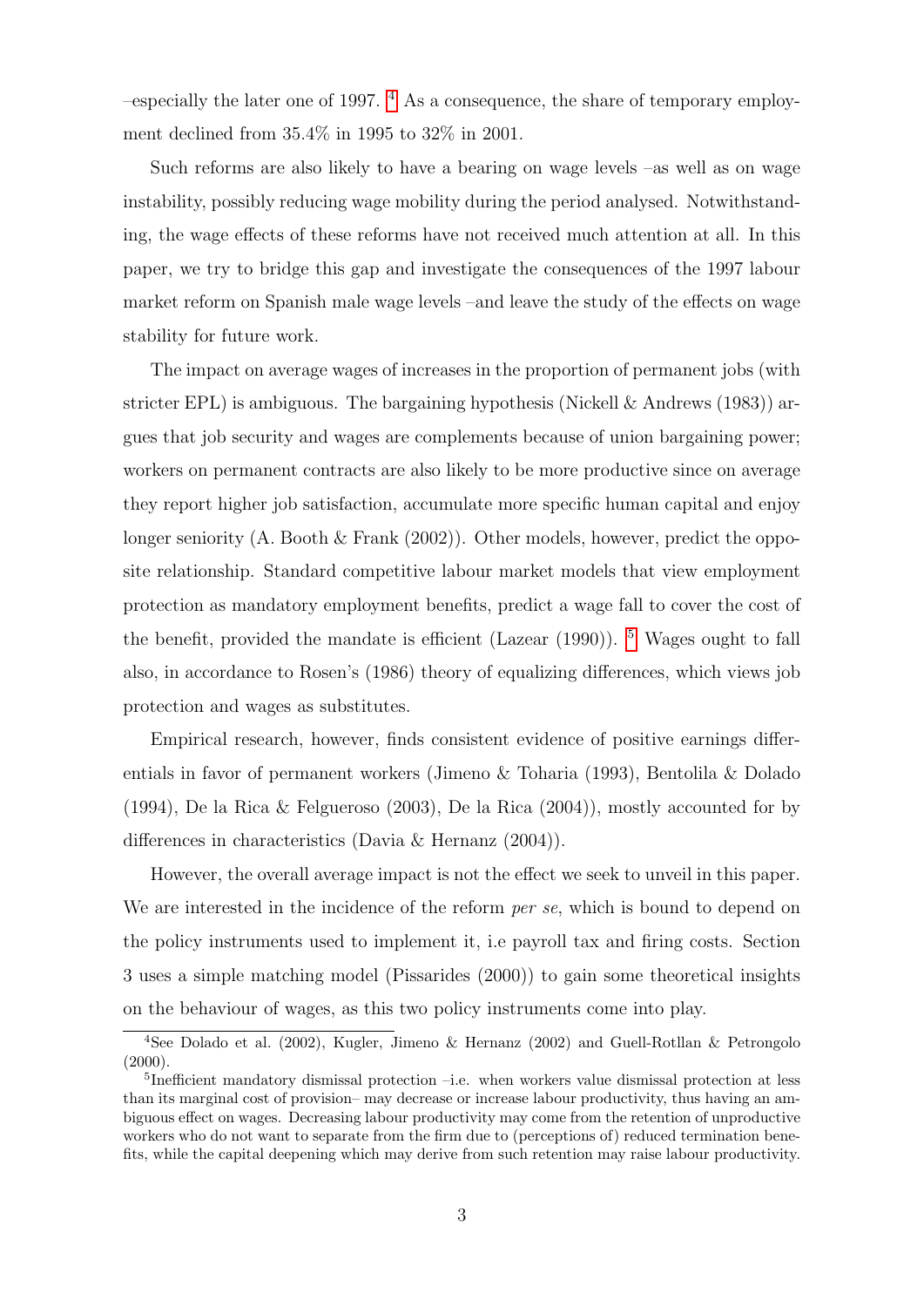$-$ especially the later one of 1997.  $4$  As a consequence, the share of temporary employment declined from 35.4% in 1995 to 32% in 2001.

Such reforms are also likely to have a bearing on wage levels –as well as on wage instability, possibly reducing wage mobility during the period analysed. Notwithstanding, the wage effects of these reforms have not received much attention at all. In this paper, we try to bridge this gap and investigate the consequences of the 1997 labour market reform on Spanish male wage levels –and leave the study of the effects on wage stability for future work.

The impact on average wages of increases in the proportion of permanent jobs (with stricter EPL) is ambiguous. The bargaining hypothesis (Nickell  $\&$  Andrews (1983)) argues that job security and wages are complements because of union bargaining power; workers on permanent contracts are also likely to be more productive since on average they report higher job satisfaction, accumulate more specific human capital and enjoy longer seniority (A. Booth  $\&$  Frank (2002)). Other models, however, predict the opposite relationship. Standard competitive labour market models that view employment protection as mandatory employment benefits, predict a wage fall to cover the cost of the benefit, provided the mandate is efficient (Lazear  $(1990)$ ). <sup>[5](#page-2-1)</sup> Wages ought to fall also, in accordance to Rosen's (1986) theory of equalizing differences, which views job protection and wages as substitutes.

Empirical research, however, finds consistent evidence of positive earnings differentials in favor of permanent workers (Jimeno & Toharia (1993), Bentolila & Dolado (1994), De la Rica & Felgueroso (2003), De la Rica (2004)), mostly accounted for by differences in characteristics (Davia & Hernanz (2004)).

However, the overall average impact is not the effect we seek to unveil in this paper. We are interested in the incidence of the reform *per se*, which is bound to depend on the policy instruments used to implement it, i.e payroll tax and firing costs. Section 3 uses a simple matching model (Pissarides (2000)) to gain some theoretical insights on the behaviour of wages, as this two policy instruments come into play.

<span id="page-2-0"></span><sup>4</sup>See Dolado et al. (2002), Kugler, Jimeno & Hernanz (2002) and Guell-Rotllan & Petrongolo  $(2000).$ 

<span id="page-2-1"></span><sup>&</sup>lt;sup>5</sup>Inefficient mandatory dismissal protection –i.e. when workers value dismissal protection at less than its marginal cost of provision– may decrease or increase labour productivity, thus having an ambiguous effect on wages. Decreasing labour productivity may come from the retention of unproductive workers who do not want to separate from the firm due to (perceptions of) reduced termination benefits, while the capital deepening which may derive from such retention may raise labour productivity.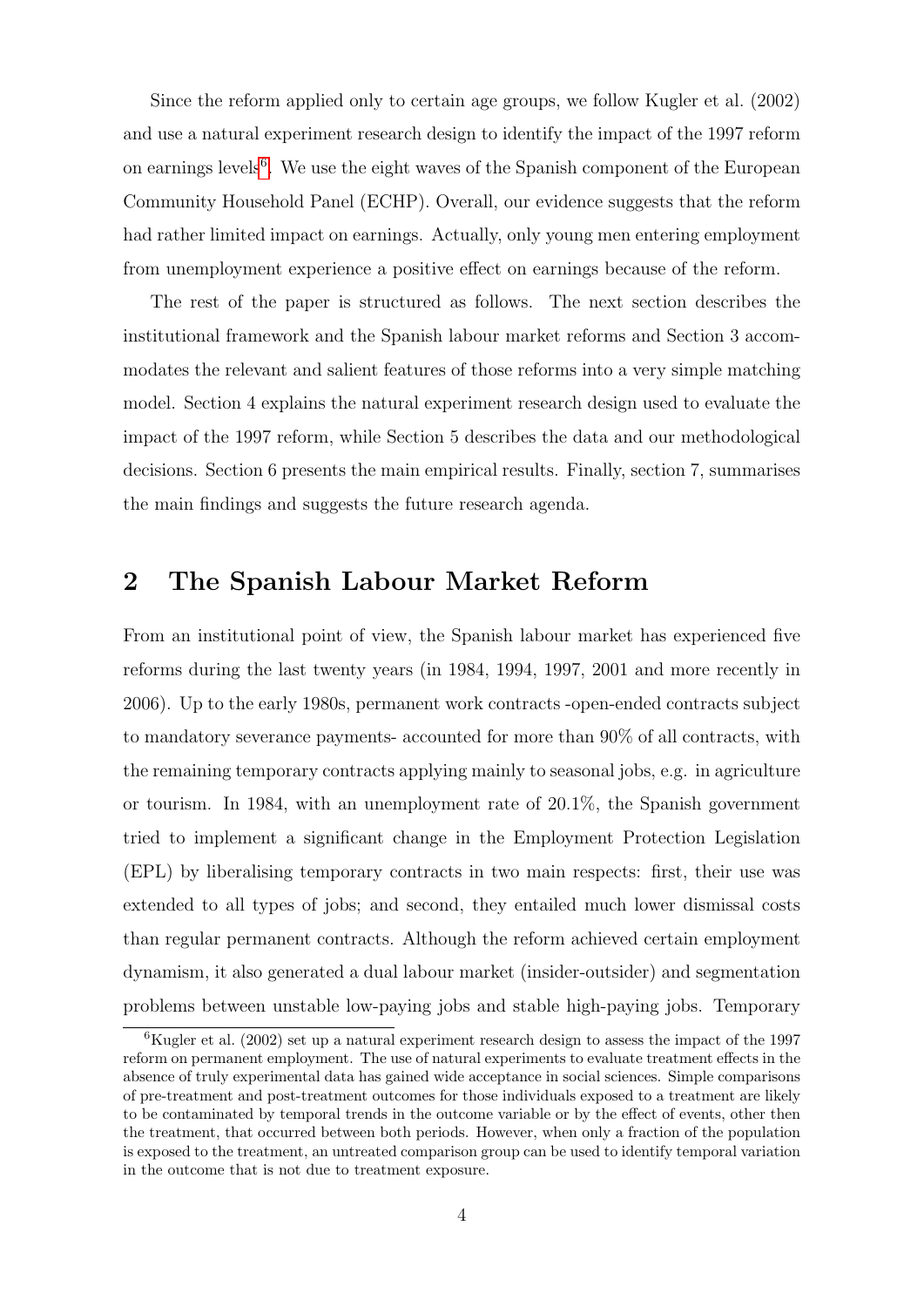Since the reform applied only to certain age groups, we follow Kugler et al. (2002) and use a natural experiment research design to identify the impact of the 1997 reform on earnings levels<sup>[6](#page-3-0)</sup>. We use the eight waves of the Spanish component of the European Community Household Panel (ECHP). Overall, our evidence suggests that the reform had rather limited impact on earnings. Actually, only young men entering employment from unemployment experience a positive effect on earnings because of the reform.

The rest of the paper is structured as follows. The next section describes the institutional framework and the Spanish labour market reforms and Section 3 accommodates the relevant and salient features of those reforms into a very simple matching model. Section 4 explains the natural experiment research design used to evaluate the impact of the 1997 reform, while Section 5 describes the data and our methodological decisions. Section 6 presents the main empirical results. Finally, section 7, summarises the main findings and suggests the future research agenda.

## 2 The Spanish Labour Market Reform

From an institutional point of view, the Spanish labour market has experienced five reforms during the last twenty years (in 1984, 1994, 1997, 2001 and more recently in 2006). Up to the early 1980s, permanent work contracts -open-ended contracts subject to mandatory severance payments- accounted for more than 90% of all contracts, with the remaining temporary contracts applying mainly to seasonal jobs, e.g. in agriculture or tourism. In 1984, with an unemployment rate of 20.1%, the Spanish government tried to implement a significant change in the Employment Protection Legislation (EPL) by liberalising temporary contracts in two main respects: first, their use was extended to all types of jobs; and second, they entailed much lower dismissal costs than regular permanent contracts. Although the reform achieved certain employment dynamism, it also generated a dual labour market (insider-outsider) and segmentation problems between unstable low-paying jobs and stable high-paying jobs. Temporary

<span id="page-3-0"></span> ${}^{6}$ Kugler et al. (2002) set up a natural experiment research design to assess the impact of the 1997 reform on permanent employment. The use of natural experiments to evaluate treatment effects in the absence of truly experimental data has gained wide acceptance in social sciences. Simple comparisons of pre-treatment and post-treatment outcomes for those individuals exposed to a treatment are likely to be contaminated by temporal trends in the outcome variable or by the effect of events, other then the treatment, that occurred between both periods. However, when only a fraction of the population is exposed to the treatment, an untreated comparison group can be used to identify temporal variation in the outcome that is not due to treatment exposure.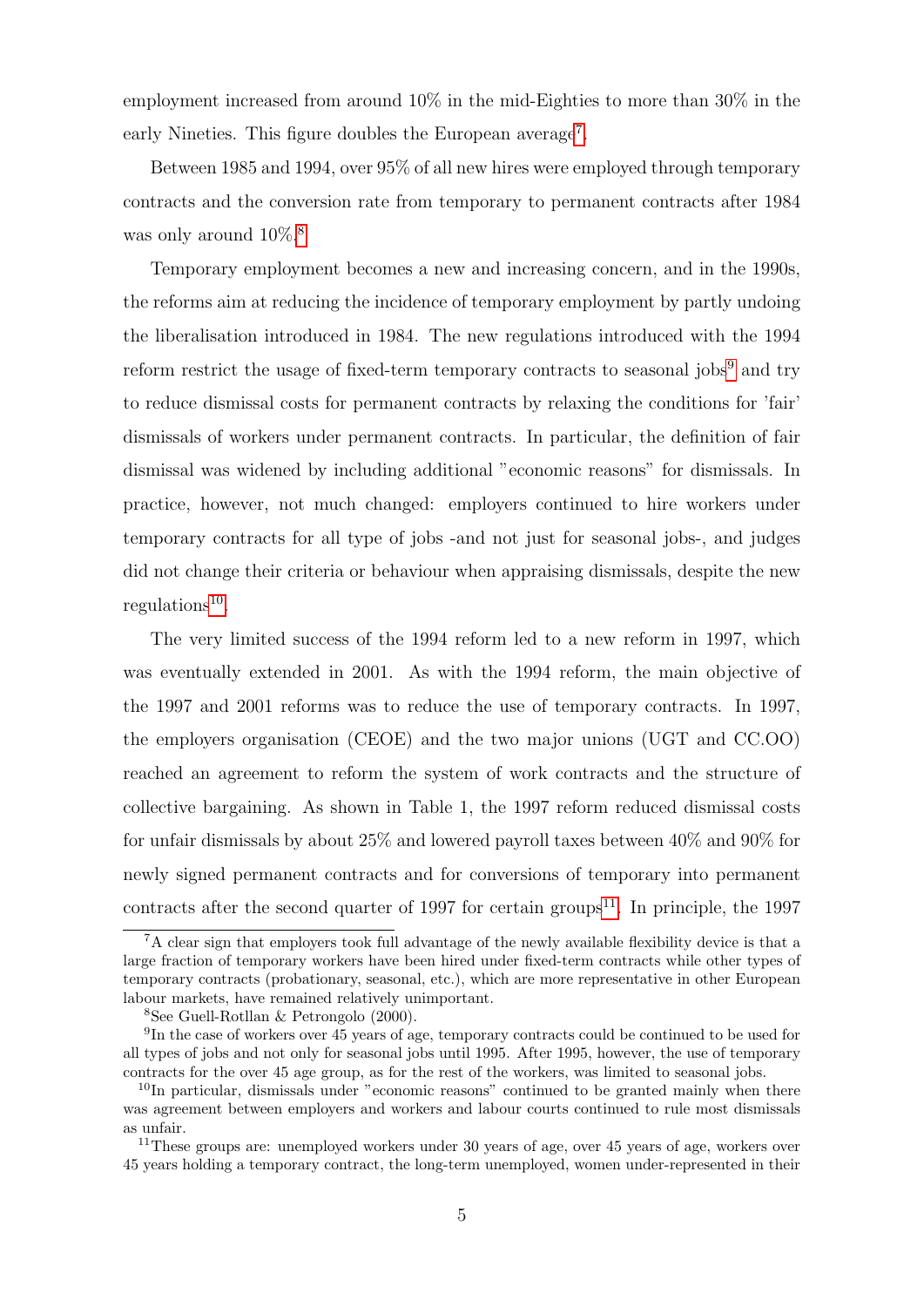employment increased from around 10% in the mid-Eighties to more than 30% in the early Nineties. This figure doubles the European average<sup>[7](#page-4-0)</sup>.

Between 1985 and 1994, over 95% of all new hires were employed through temporary contracts and the conversion rate from temporary to permanent contracts after 1984 was only around  $10\%$ <sup>[8](#page-4-1)</sup>

Temporary employment becomes a new and increasing concern, and in the 1990s, the reforms aim at reducing the incidence of temporary employment by partly undoing the liberalisation introduced in 1984. The new regulations introduced with the 1994 reform restrict the usage of fixed-term temporary contracts to seasonal jobs<sup>[9](#page-4-2)</sup> and try to reduce dismissal costs for permanent contracts by relaxing the conditions for 'fair' dismissals of workers under permanent contracts. In particular, the definition of fair dismissal was widened by including additional "economic reasons" for dismissals. In practice, however, not much changed: employers continued to hire workers under temporary contracts for all type of jobs -and not just for seasonal jobs-, and judges did not change their criteria or behaviour when appraising dismissals, despite the new regulations<sup>[10](#page-4-3)</sup>.

The very limited success of the 1994 reform led to a new reform in 1997, which was eventually extended in 2001. As with the 1994 reform, the main objective of the 1997 and 2001 reforms was to reduce the use of temporary contracts. In 1997, the employers organisation (CEOE) and the two major unions (UGT and CC.OO) reached an agreement to reform the system of work contracts and the structure of collective bargaining. As shown in Table 1, the 1997 reform reduced dismissal costs for unfair dismissals by about 25% and lowered payroll taxes between 40% and 90% for newly signed permanent contracts and for conversions of temporary into permanent contracts after the second quarter of 1997 for certain groups<sup>[11](#page-4-4)</sup>. In principle, the 1997

<span id="page-4-0"></span><sup>&</sup>lt;sup>7</sup>A clear sign that employers took full advantage of the newly available flexibility device is that a large fraction of temporary workers have been hired under fixed-term contracts while other types of temporary contracts (probationary, seasonal, etc.), which are more representative in other European labour markets, have remained relatively unimportant.

<span id="page-4-2"></span><span id="page-4-1"></span><sup>8</sup>See Guell-Rotllan & Petrongolo (2000).

<sup>&</sup>lt;sup>9</sup>In the case of workers over 45 years of age, temporary contracts could be continued to be used for all types of jobs and not only for seasonal jobs until 1995. After 1995, however, the use of temporary contracts for the over 45 age group, as for the rest of the workers, was limited to seasonal jobs.

<span id="page-4-3"></span> $10$ In particular, dismissals under "economic reasons" continued to be granted mainly when there was agreement between employers and workers and labour courts continued to rule most dismissals as unfair.

<span id="page-4-4"></span><sup>&</sup>lt;sup>11</sup>These groups are: unemployed workers under 30 years of age, over 45 years of age, workers over 45 years holding a temporary contract, the long-term unemployed, women under-represented in their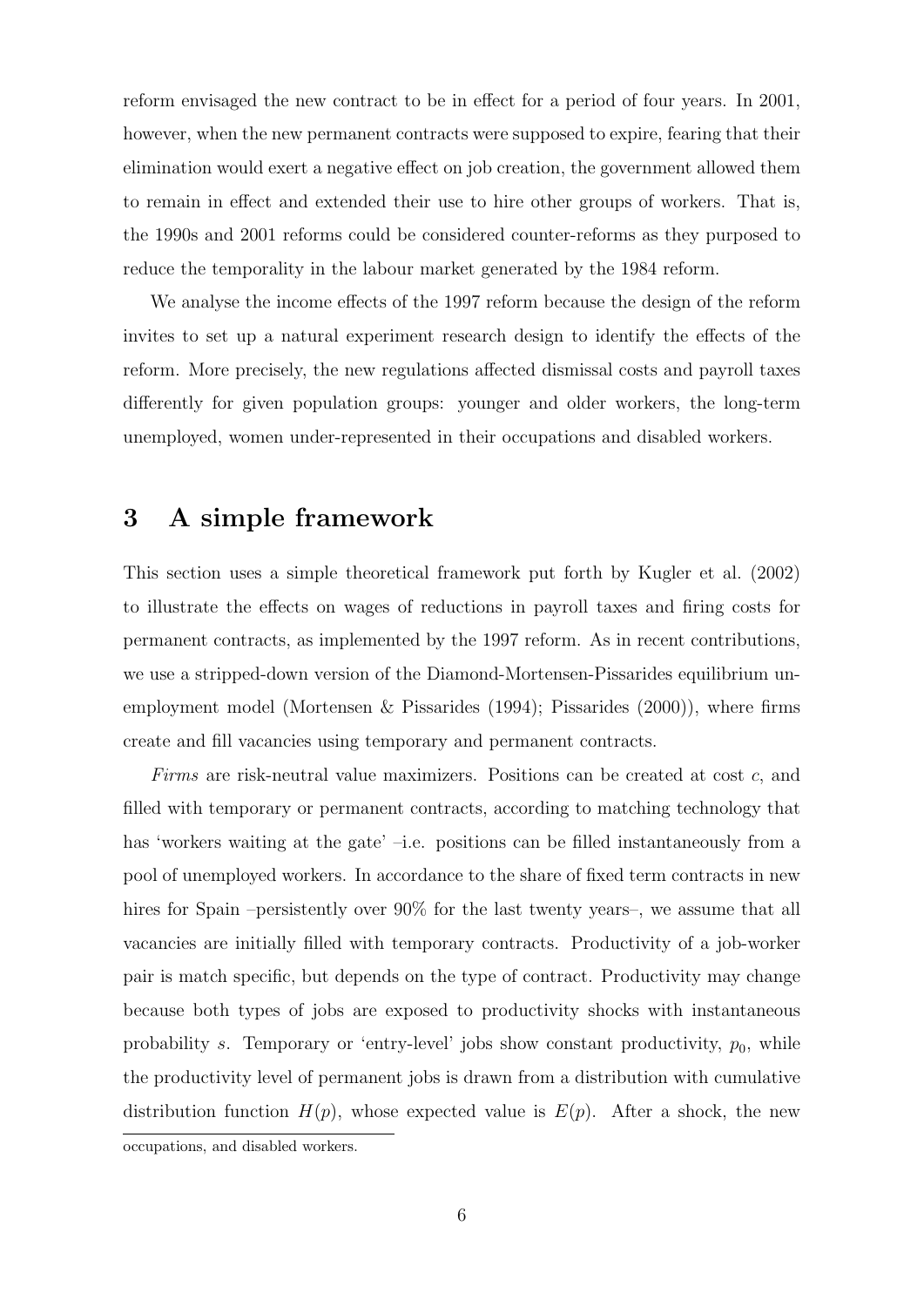reform envisaged the new contract to be in effect for a period of four years. In 2001, however, when the new permanent contracts were supposed to expire, fearing that their elimination would exert a negative effect on job creation, the government allowed them to remain in effect and extended their use to hire other groups of workers. That is, the 1990s and 2001 reforms could be considered counter-reforms as they purposed to reduce the temporality in the labour market generated by the 1984 reform.

We analyse the income effects of the 1997 reform because the design of the reform invites to set up a natural experiment research design to identify the effects of the reform. More precisely, the new regulations affected dismissal costs and payroll taxes differently for given population groups: younger and older workers, the long-term unemployed, women under-represented in their occupations and disabled workers.

## 3 A simple framework

This section uses a simple theoretical framework put forth by Kugler et al. (2002) to illustrate the effects on wages of reductions in payroll taxes and firing costs for permanent contracts, as implemented by the 1997 reform. As in recent contributions, we use a stripped-down version of the Diamond-Mortensen-Pissarides equilibrium unemployment model (Mortensen & Pissarides (1994); Pissarides (2000)), where firms create and fill vacancies using temporary and permanent contracts.

Firms are risk-neutral value maximizers. Positions can be created at cost c, and filled with temporary or permanent contracts, according to matching technology that has 'workers waiting at the gate' –i.e. positions can be filled instantaneously from a pool of unemployed workers. In accordance to the share of fixed term contracts in new hires for Spain –persistently over 90% for the last twenty years–, we assume that all vacancies are initially filled with temporary contracts. Productivity of a job-worker pair is match specific, but depends on the type of contract. Productivity may change because both types of jobs are exposed to productivity shocks with instantaneous probability s. Temporary or 'entry-level' jobs show constant productivity,  $p_0$ , while the productivity level of permanent jobs is drawn from a distribution with cumulative distribution function  $H(p)$ , whose expected value is  $E(p)$ . After a shock, the new

occupations, and disabled workers.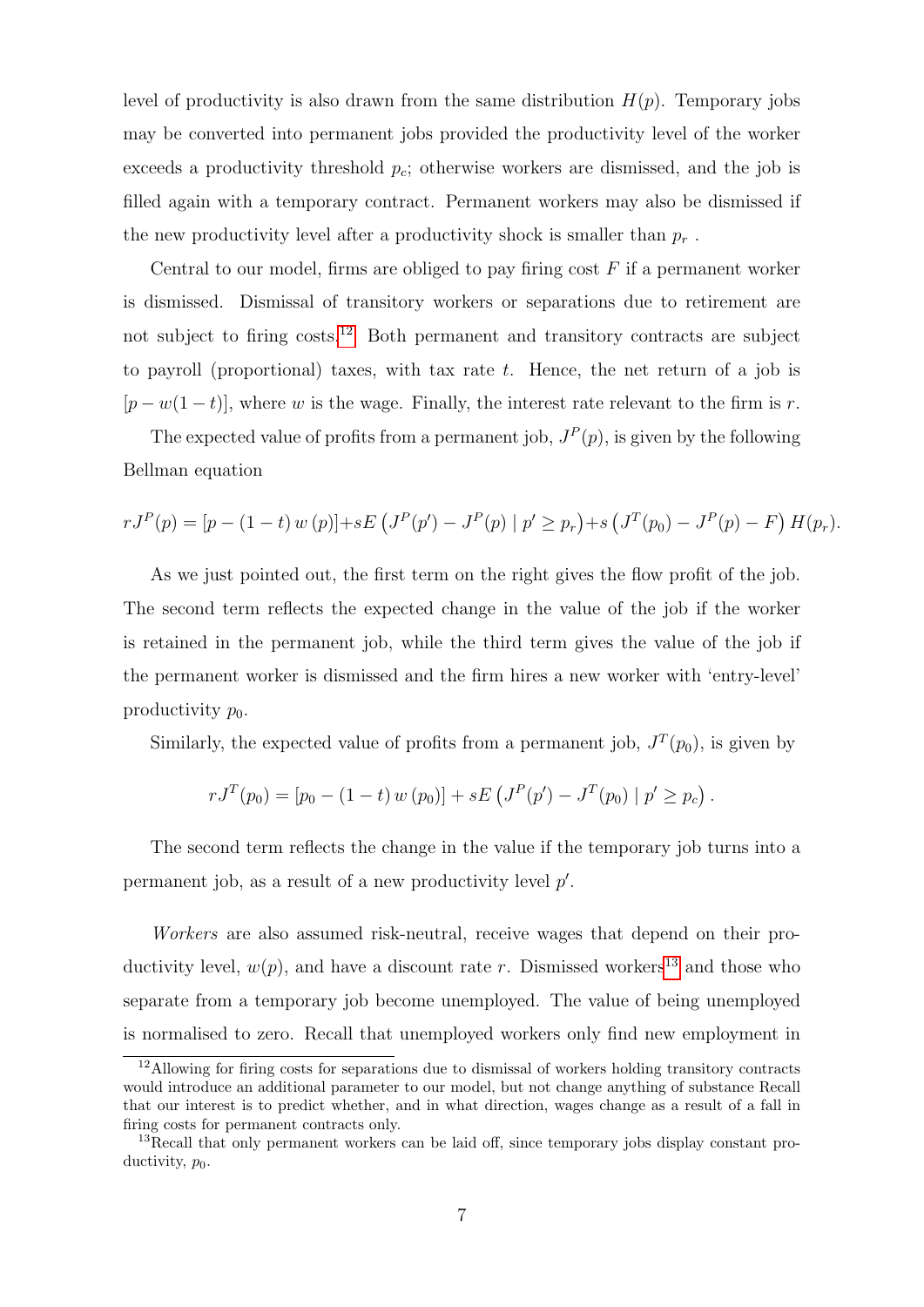level of productivity is also drawn from the same distribution  $H(p)$ . Temporary jobs may be converted into permanent jobs provided the productivity level of the worker exceeds a productivity threshold  $p_c$ ; otherwise workers are dismissed, and the job is filled again with a temporary contract. Permanent workers may also be dismissed if the new productivity level after a productivity shock is smaller than  $p_r$ .

Central to our model, firms are obliged to pay firing cost  $F$  if a permanent worker is dismissed. Dismissal of transitory workers or separations due to retirement are not subject to firing costs.<sup>[12](#page-6-0)</sup> Both permanent and transitory contracts are subject to payroll (proportional) taxes, with tax rate  $t$ . Hence, the net return of a job is  $[p - w(1 - t)]$ , where w is the wage. Finally, the interest rate relevant to the firm is r.

The expected value of profits from a permanent job,  $J^P(p)$ , is given by the following Bellman equation

$$
rJ^{P}(p) = [p - (1-t) w (p)] + sE (J^{P}(p') - J^{P}(p) | p' \ge p_r) + s (J^{T}(p_0) - J^{P}(p) - F) H(p_r).
$$

As we just pointed out, the first term on the right gives the flow profit of the job. The second term reflects the expected change in the value of the job if the worker is retained in the permanent job, while the third term gives the value of the job if the permanent worker is dismissed and the firm hires a new worker with 'entry-level' productivity  $p_0$ .

Similarly, the expected value of profits from a permanent job,  $J^T(p_0)$ , is given by

$$
rJ^{T}(p_{0}) = [p_{0} - (1-t) w (p_{0})] + sE (J^{P}(p') - J^{T}(p_{0}) | p' \geq p_{c}).
$$

The second term reflects the change in the value if the temporary job turns into a permanent job, as a result of a new productivity level  $p'$ .

Workers are also assumed risk-neutral, receive wages that depend on their productivity level,  $w(p)$ , and have a discount rate r. Dismissed workers<sup>[13](#page-6-1)</sup> and those who separate from a temporary job become unemployed. The value of being unemployed is normalised to zero. Recall that unemployed workers only find new employment in

<span id="page-6-0"></span><sup>&</sup>lt;sup>12</sup>Allowing for firing costs for separations due to dismissal of workers holding transitory contracts would introduce an additional parameter to our model, but not change anything of substance Recall that our interest is to predict whether, and in what direction, wages change as a result of a fall in firing costs for permanent contracts only.

<span id="page-6-1"></span><sup>&</sup>lt;sup>13</sup>Recall that only permanent workers can be laid off, since temporary jobs display constant productivity,  $p_0$ .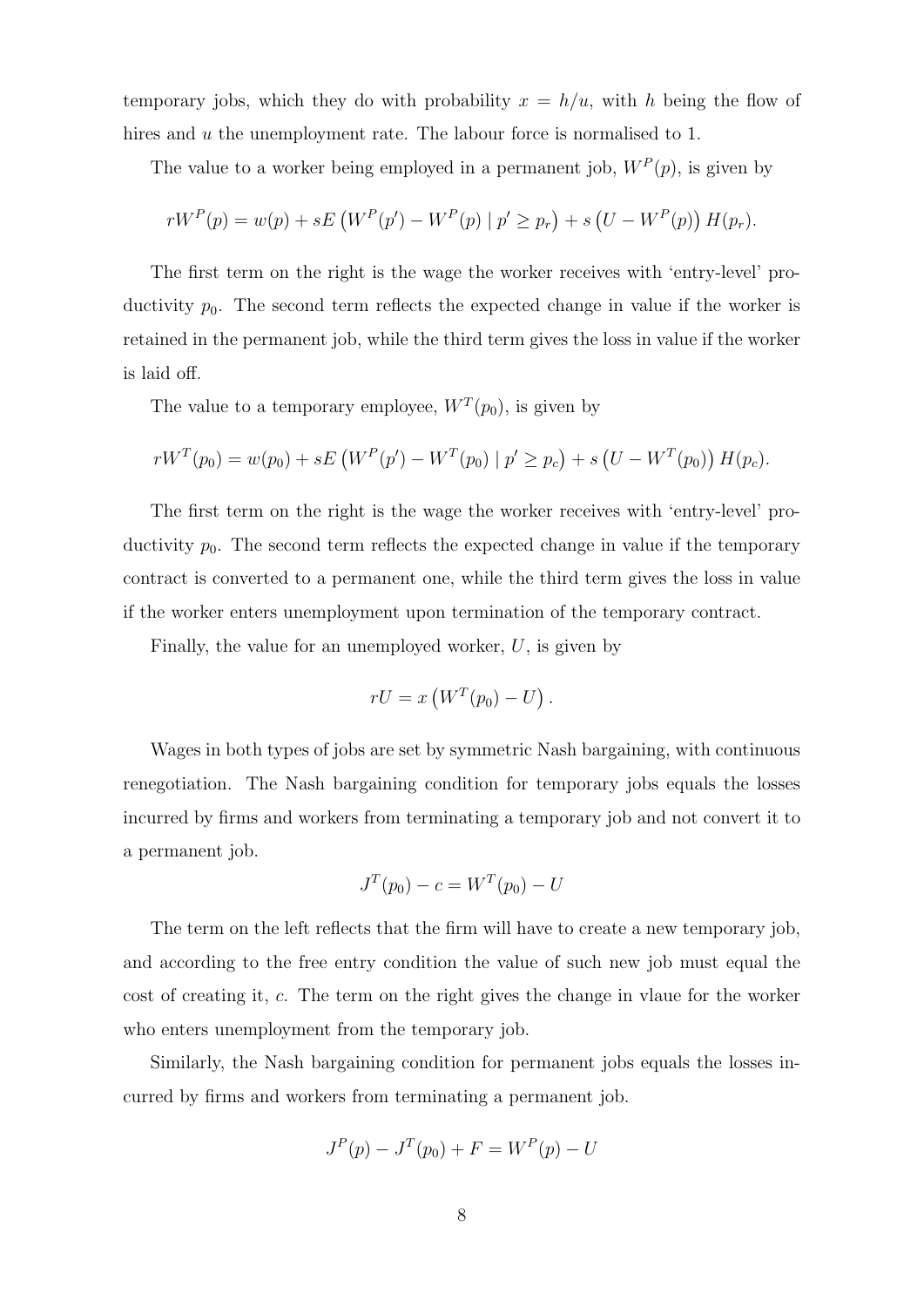temporary jobs, which they do with probability  $x = h/u$ , with h being the flow of hires and u the unemployment rate. The labour force is normalised to 1.

The value to a worker being employed in a permanent job,  $W^P(p)$ , is given by

$$
rW^{P}(p) = w(p) + sE(W^{P}(p') - W^{P}(p) | p' \ge p_r) + s(U - W^{P}(p)) H(p_r).
$$

The first term on the right is the wage the worker receives with 'entry-level' productivity  $p_0$ . The second term reflects the expected change in value if the worker is retained in the permanent job, while the third term gives the loss in value if the worker is laid off.

The value to a temporary employee,  $W^T(p_0)$ , is given by

$$
rW^{T}(p_{0}) = w(p_{0}) + sE(W^{P}(p') - W^{T}(p_{0}) | p' \geq p_{c}) + s(U - W^{T}(p_{0})) H(p_{c}).
$$

The first term on the right is the wage the worker receives with 'entry-level' productivity  $p_0$ . The second term reflects the expected change in value if the temporary contract is converted to a permanent one, while the third term gives the loss in value if the worker enters unemployment upon termination of the temporary contract.

Finally, the value for an unemployed worker,  $U$ , is given by

$$
rU = x\left(W^T(p_0) - U\right).
$$

Wages in both types of jobs are set by symmetric Nash bargaining, with continuous renegotiation. The Nash bargaining condition for temporary jobs equals the losses incurred by firms and workers from terminating a temporary job and not convert it to a permanent job.

$$
J^T(p_0) - c = W^T(p_0) - U
$$

The term on the left reflects that the firm will have to create a new temporary job, and according to the free entry condition the value of such new job must equal the cost of creating it, c. The term on the right gives the change in vlaue for the worker who enters unemployment from the temporary job.

Similarly, the Nash bargaining condition for permanent jobs equals the losses incurred by firms and workers from terminating a permanent job.

$$
J^{P}(p) - J^{T}(p_0) + F = W^{P}(p) - U
$$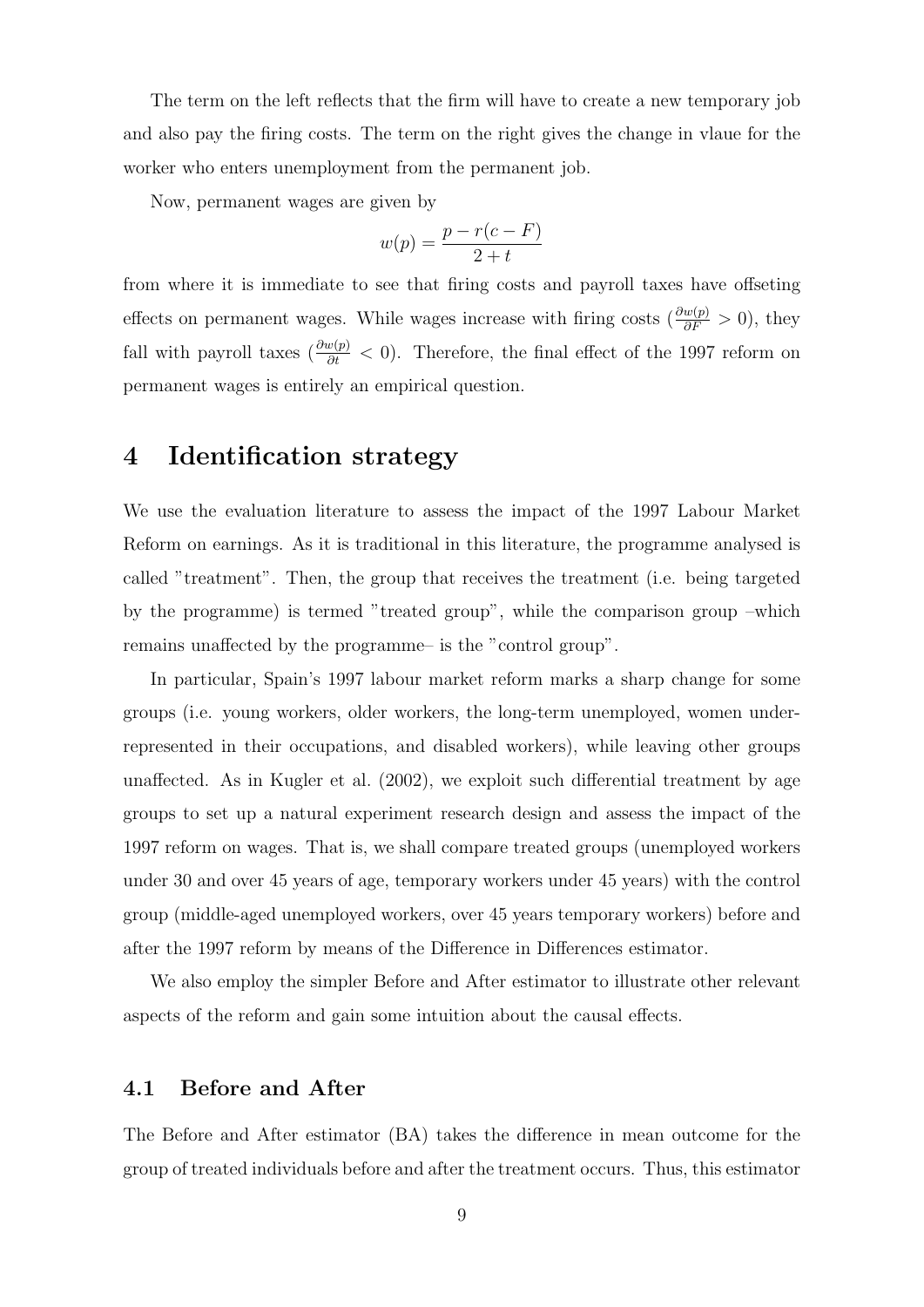The term on the left reflects that the firm will have to create a new temporary job and also pay the firing costs. The term on the right gives the change in vlaue for the worker who enters unemployment from the permanent job.

Now, permanent wages are given by

$$
w(p) = \frac{p - r(c - F)}{2 + t}
$$

from where it is immediate to see that firing costs and payroll taxes have offseting effects on permanent wages. While wages increase with firing costs ( $\frac{\partial w(p)}{\partial F} > 0$ ), they fall with payroll taxes ( $\frac{\partial w(p)}{\partial t} < 0$ ). Therefore, the final effect of the 1997 reform on permanent wages is entirely an empirical question.

## 4 Identification strategy

We use the evaluation literature to assess the impact of the 1997 Labour Market Reform on earnings. As it is traditional in this literature, the programme analysed is called "treatment". Then, the group that receives the treatment (i.e. being targeted by the programme) is termed "treated group", while the comparison group –which remains unaffected by the programme– is the "control group".

In particular, Spain's 1997 labour market reform marks a sharp change for some groups (i.e. young workers, older workers, the long-term unemployed, women underrepresented in their occupations, and disabled workers), while leaving other groups unaffected. As in Kugler et al. (2002), we exploit such differential treatment by age groups to set up a natural experiment research design and assess the impact of the 1997 reform on wages. That is, we shall compare treated groups (unemployed workers under 30 and over 45 years of age, temporary workers under 45 years) with the control group (middle-aged unemployed workers, over 45 years temporary workers) before and after the 1997 reform by means of the Difference in Differences estimator.

We also employ the simpler Before and After estimator to illustrate other relevant aspects of the reform and gain some intuition about the causal effects.

### 4.1 Before and After

The Before and After estimator (BA) takes the difference in mean outcome for the group of treated individuals before and after the treatment occurs. Thus, this estimator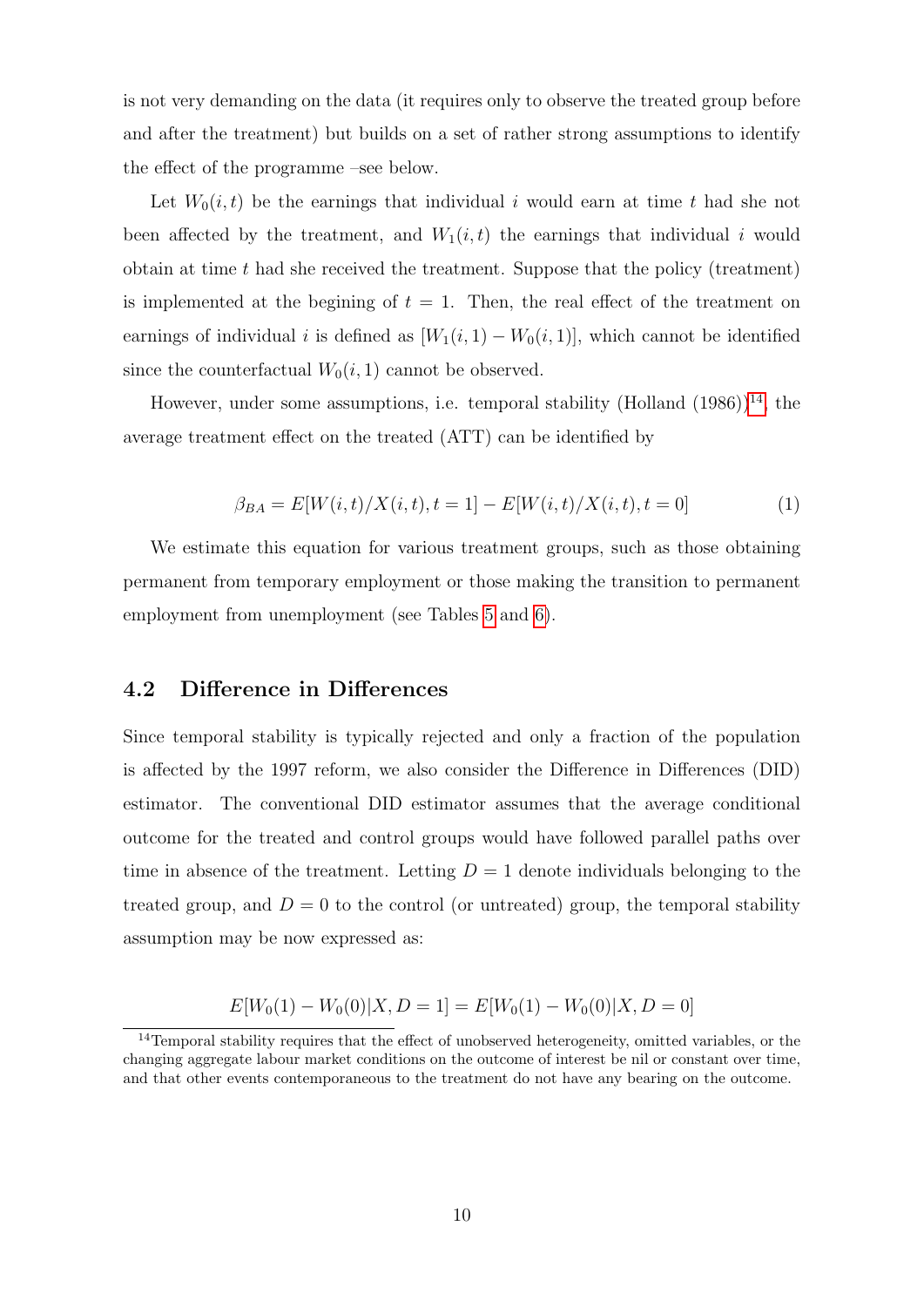is not very demanding on the data (it requires only to observe the treated group before and after the treatment) but builds on a set of rather strong assumptions to identify the effect of the programme –see below.

Let  $W_0(i, t)$  be the earnings that individual i would earn at time t had she not been affected by the treatment, and  $W_1(i, t)$  the earnings that individual i would obtain at time  $t$  had she received the treatment. Suppose that the policy (treatment) is implemented at the begining of  $t = 1$ . Then, the real effect of the treatment on earnings of individual i is defined as  $[W_1(i, 1) - W_0(i, 1)]$ , which cannot be identified since the counterfactual  $W_0(i, 1)$  cannot be observed.

However, under some assumptions, i.e. temporal stability (Holland  $(1986)$ )<sup>[14](#page-9-0)</sup>, the average treatment effect on the treated (ATT) can be identified by

$$
\beta_{BA} = E[W(i,t)/X(i,t), t = 1] - E[W(i,t)/X(i,t), t = 0]
$$
\n(1)

We estimate this equation for various treatment groups, such as those obtaining permanent from temporary employment or those making the transition to permanent employment from unemployment (see Tables [5](#page-14-0) and [6\)](#page-15-0).

## 4.2 Difference in Differences

Since temporal stability is typically rejected and only a fraction of the population is affected by the 1997 reform, we also consider the Difference in Differences (DID) estimator. The conventional DID estimator assumes that the average conditional outcome for the treated and control groups would have followed parallel paths over time in absence of the treatment. Letting  $D = 1$  denote individuals belonging to the treated group, and  $D = 0$  to the control (or untreated) group, the temporal stability assumption may be now expressed as:

$$
E[W_0(1) - W_0(0)|X, D = 1] = E[W_0(1) - W_0(0)|X, D = 0]
$$

<span id="page-9-0"></span><sup>&</sup>lt;sup>14</sup>Temporal stability requires that the effect of unobserved heterogeneity, omitted variables, or the changing aggregate labour market conditions on the outcome of interest be nil or constant over time, and that other events contemporaneous to the treatment do not have any bearing on the outcome.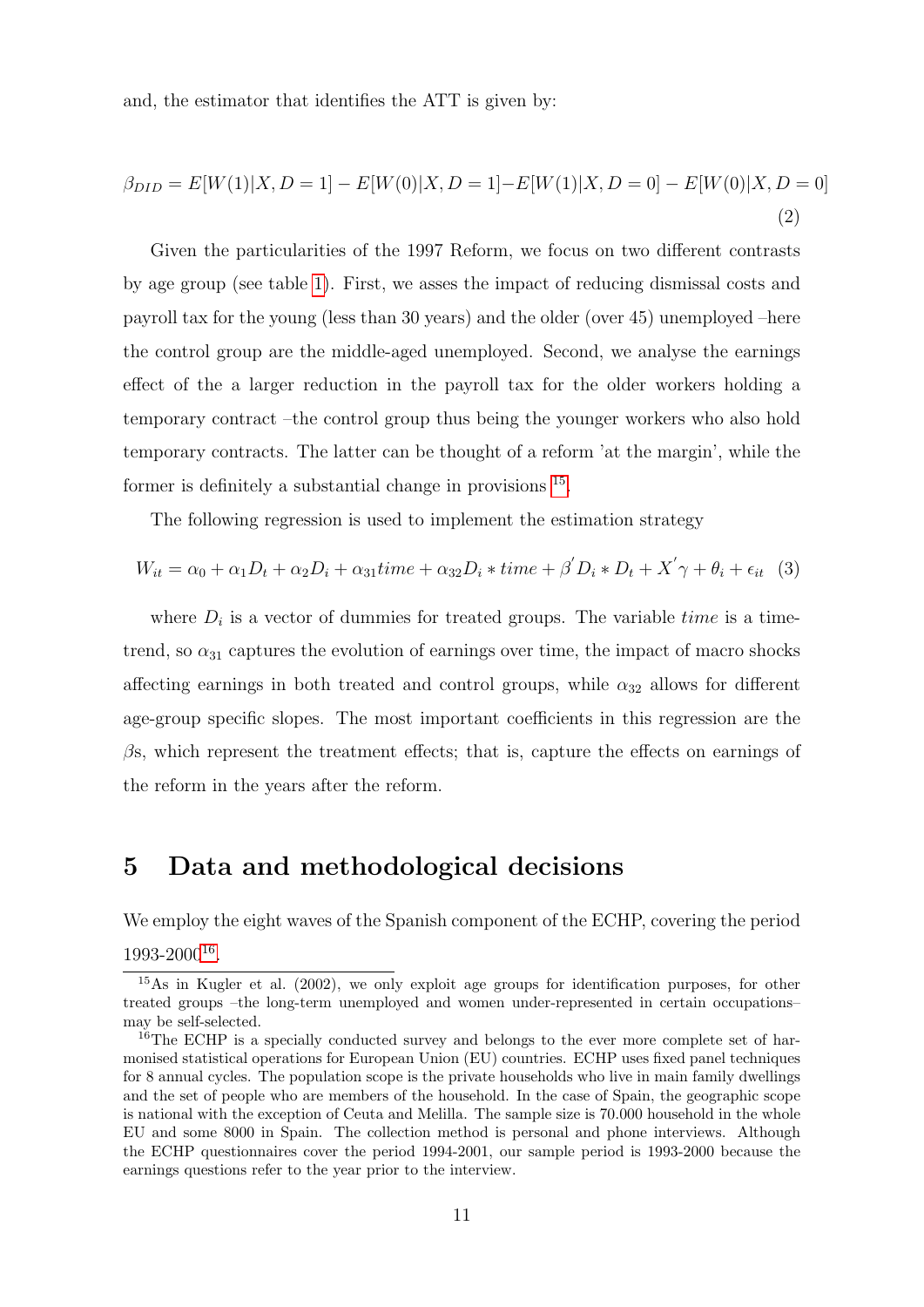and, the estimator that identifies the ATT is given by:

$$
\beta_{DID} = E[W(1)|X, D = 1] - E[W(0)|X, D = 1] - E[W(1)|X, D = 0] - E[W(0)|X, D = 0]
$$
\n(2)

Given the particularities of the 1997 Reform, we focus on two different contrasts by age group (see table [1\)](#page-11-0). First, we asses the impact of reducing dismissal costs and payroll tax for the young (less than 30 years) and the older (over 45) unemployed –here the control group are the middle-aged unemployed. Second, we analyse the earnings effect of the a larger reduction in the payroll tax for the older workers holding a temporary contract –the control group thus being the younger workers who also hold temporary contracts. The latter can be thought of a reform 'at the margin', while the former is definitely a substantial change in provisions  $^{15}$  $^{15}$  $^{15}$ .

The following regression is used to implement the estimation strategy

$$
W_{it} = \alpha_0 + \alpha_1 D_t + \alpha_2 D_i + \alpha_{31} time + \alpha_{32} D_i * time + \beta' D_i * D_t + X' \gamma + \theta_i + \epsilon_{it} \quad (3)
$$

where  $D_i$  is a vector of dummies for treated groups. The variable *time* is a timetrend, so  $\alpha_{31}$  captures the evolution of earnings over time, the impact of macro shocks affecting earnings in both treated and control groups, while  $\alpha_{32}$  allows for different age-group specific slopes. The most important coefficients in this regression are the  $\beta$ s, which represent the treatment effects; that is, capture the effects on earnings of the reform in the years after the reform.

## 5 Data and methodological decisions

We employ the eight waves of the Spanish component of the ECHP, covering the period 1993-2000[16](#page-10-1) .

<span id="page-10-0"></span><sup>&</sup>lt;sup>15</sup>As in Kugler et al. (2002), we only exploit age groups for identification purposes, for other treated groups –the long-term unemployed and women under-represented in certain occupations– may be self-selected.

<span id="page-10-1"></span><sup>&</sup>lt;sup>16</sup>The ECHP is a specially conducted survey and belongs to the ever more complete set of harmonised statistical operations for European Union (EU) countries. ECHP uses fixed panel techniques for 8 annual cycles. The population scope is the private households who live in main family dwellings and the set of people who are members of the household. In the case of Spain, the geographic scope is national with the exception of Ceuta and Melilla. The sample size is 70.000 household in the whole EU and some 8000 in Spain. The collection method is personal and phone interviews. Although the ECHP questionnaires cover the period 1994-2001, our sample period is 1993-2000 because the earnings questions refer to the year prior to the interview.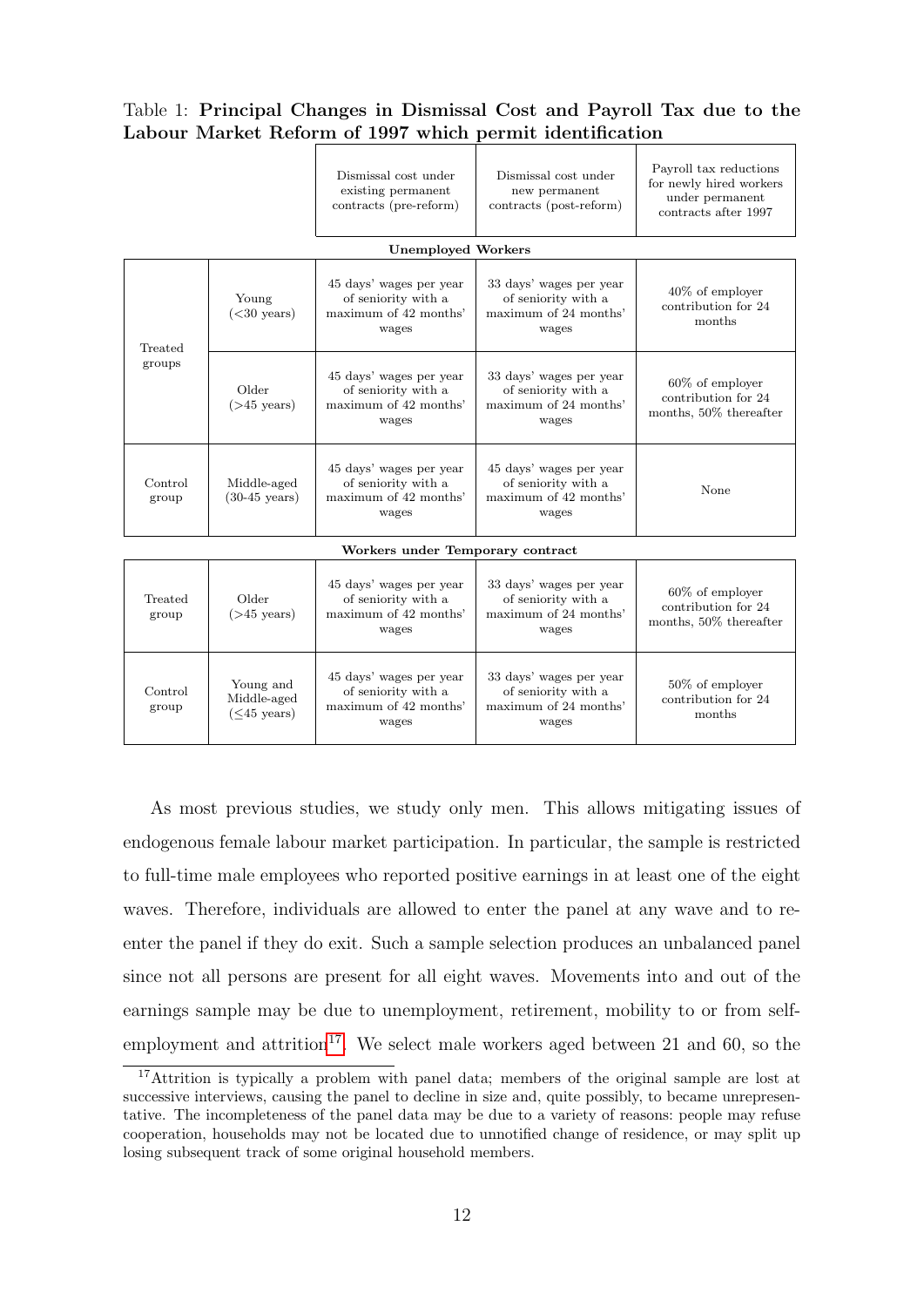#### <span id="page-11-0"></span>Table 1: Principal Changes in Dismissal Cost and Payroll Tax due to the Labour Market Reform of 1997 which permit identification

|                                  |                                                    | Dismissal cost under<br>existing permanent<br>contracts (pre-reform)             | Dismissal cost under<br>new permanent<br>contracts (post-reform)                 | Payroll tax reductions<br>for newly hired workers<br>under permanent<br>contracts after 1997 |  |
|----------------------------------|----------------------------------------------------|----------------------------------------------------------------------------------|----------------------------------------------------------------------------------|----------------------------------------------------------------------------------------------|--|
|                                  |                                                    | <b>Unemployed Workers</b>                                                        |                                                                                  |                                                                                              |  |
| Treated<br>groups                | Young<br>$(<$ 30 years)                            | 45 days' wages per year<br>of seniority with a<br>maximum of 42 months'<br>wages | 33 days' wages per year<br>of seniority with a<br>maximum of 24 months'<br>wages | $40\%$ of employer<br>contribution for 24<br>months                                          |  |
|                                  | Older<br>$($ >45 years $)$                         | 45 days' wages per year<br>of seniority with a<br>maximum of 42 months'<br>wages | 33 days' wages per year<br>of seniority with a<br>maximum of 24 months'<br>wages | $60\%$ of employer<br>contribution for 24<br>months, 50% thereafter                          |  |
| Control<br>group                 | Middle-aged<br>$(30-45 \text{ years})$             | 45 days' wages per year<br>of seniority with a<br>maximum of 42 months'<br>wages | 45 days' wages per year<br>of seniority with a<br>maximum of 42 months'<br>wages | None                                                                                         |  |
| Workers under Temporary contract |                                                    |                                                                                  |                                                                                  |                                                                                              |  |
| Treated<br>group                 | Older<br>$($ >45 years $)$                         | 45 days' wages per year<br>of seniority with a<br>maximum of 42 months'<br>wages | 33 days' wages per year<br>of seniority with a<br>maximum of 24 months'<br>wages | $60\%$ of employer<br>contribution for 24<br>months, 50% thereafter                          |  |
| Control<br>group                 | Young and<br>Middle-aged<br>( <sub>45</sub> years) | 45 days' wages per year<br>of seniority with a<br>maximum of 42 months'<br>wages | 33 days' wages per year<br>of seniority with a<br>maximum of 24 months'<br>wages | $50\%$ of employer<br>contribution for 24<br>months                                          |  |

As most previous studies, we study only men. This allows mitigating issues of endogenous female labour market participation. In particular, the sample is restricted to full-time male employees who reported positive earnings in at least one of the eight waves. Therefore, individuals are allowed to enter the panel at any wave and to reenter the panel if they do exit. Such a sample selection produces an unbalanced panel since not all persons are present for all eight waves. Movements into and out of the earnings sample may be due to unemployment, retirement, mobility to or from self-employment and attrition<sup>[17](#page-11-1)</sup>. We select male workers aged between 21 and 60, so the

<span id="page-11-1"></span><sup>&</sup>lt;sup>17</sup>Attrition is typically a problem with panel data; members of the original sample are lost at successive interviews, causing the panel to decline in size and, quite possibly, to became unrepresentative. The incompleteness of the panel data may be due to a variety of reasons: people may refuse cooperation, households may not be located due to unnotified change of residence, or may split up losing subsequent track of some original household members.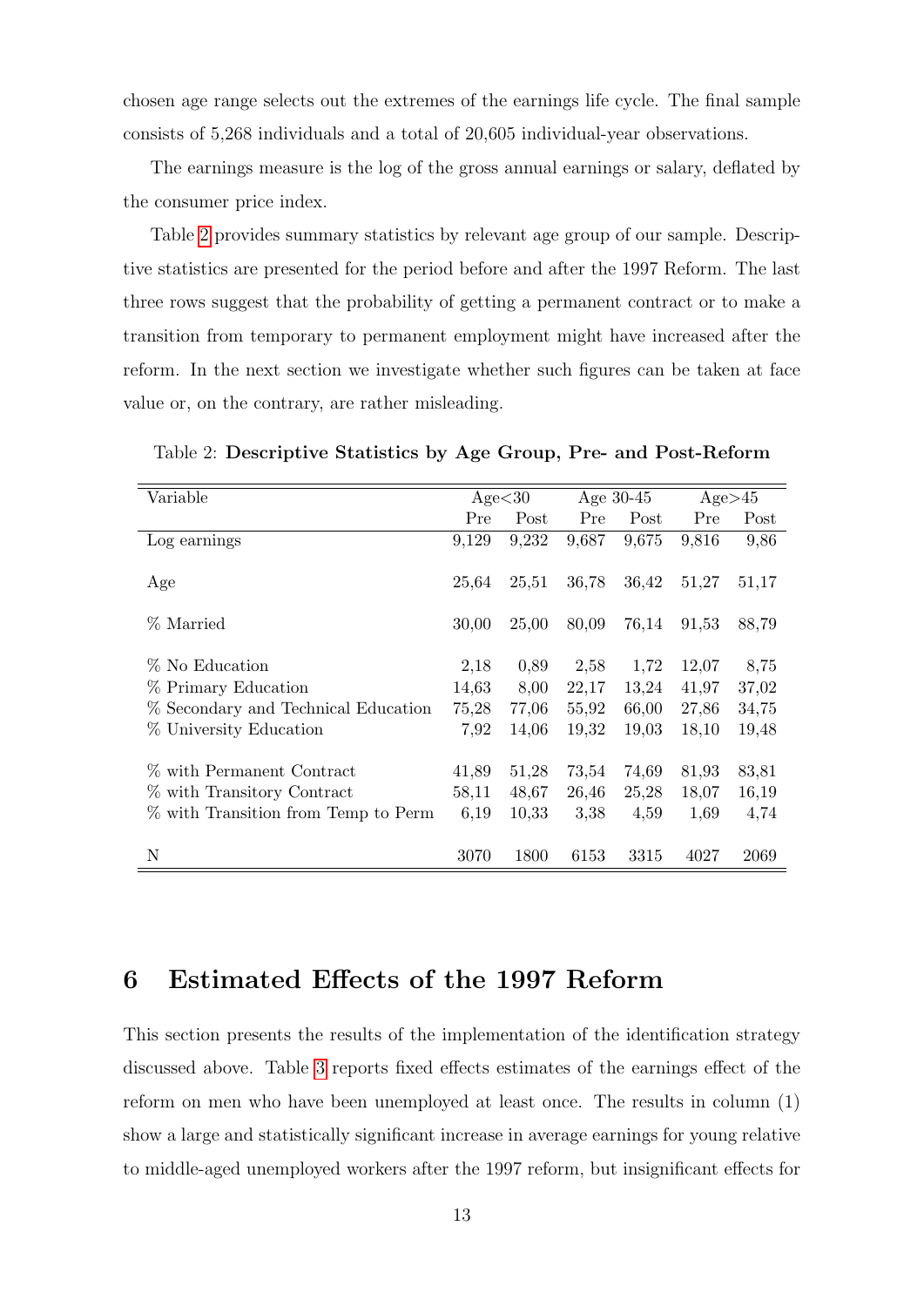chosen age range selects out the extremes of the earnings life cycle. The final sample consists of 5,268 individuals and a total of 20,605 individual-year observations.

The earnings measure is the log of the gross annual earnings or salary, deflated by the consumer price index.

Table [2](#page-12-0) provides summary statistics by relevant age group of our sample. Descriptive statistics are presented for the period before and after the 1997 Reform. The last three rows suggest that the probability of getting a permanent contract or to make a transition from temporary to permanent employment might have increased after the reform. In the next section we investigate whether such figures can be taken at face value or, on the contrary, are rather misleading.

| Variable                            | Age<30 |       | Age $30-45$ |       | Age>45 |       |
|-------------------------------------|--------|-------|-------------|-------|--------|-------|
|                                     | Pre    | Post  | Pre         | Post  | Pre    | Post  |
| Log earnings                        | 9,129  | 9,232 | 9,687       | 9,675 | 9,816  | 9,86  |
| Age                                 | 25,64  | 25,51 | 36,78       | 36,42 | 51,27  | 51,17 |
| % Married                           | 30,00  | 25,00 | 80,09       | 76,14 | 91,53  | 88,79 |
| % No Education                      | 2,18   | 0,89  | 2,58        | 1,72  | 12,07  | 8,75  |
| % Primary Education                 | 14,63  | 8,00  | 22,17       | 13,24 | 41,97  | 37,02 |
| % Secondary and Technical Education | 75,28  | 77,06 | 55,92       | 66,00 | 27,86  | 34,75 |
| % University Education              | 7,92   | 14,06 | 19,32       | 19,03 | 18,10  | 19,48 |
| % with Permanent Contract           | 41,89  | 51,28 | 73,54       | 74,69 | 81,93  | 83,81 |
| % with Transitory Contract          | 58,11  | 48,67 | 26,46       | 25,28 | 18,07  | 16,19 |
| % with Transition from Temp to Perm | 6,19   | 10,33 | 3,38        | 4,59  | 1,69   | 4,74  |
| N                                   | 3070   | 1800  | 6153        | 3315  | 4027   | 2069  |

<span id="page-12-0"></span>Table 2: Descriptive Statistics by Age Group, Pre- and Post-Reform

## 6 Estimated Effects of the 1997 Reform

This section presents the results of the implementation of the identification strategy discussed above. Table [3](#page-13-0) reports fixed effects estimates of the earnings effect of the reform on men who have been unemployed at least once. The results in column (1) show a large and statistically significant increase in average earnings for young relative to middle-aged unemployed workers after the 1997 reform, but insignificant effects for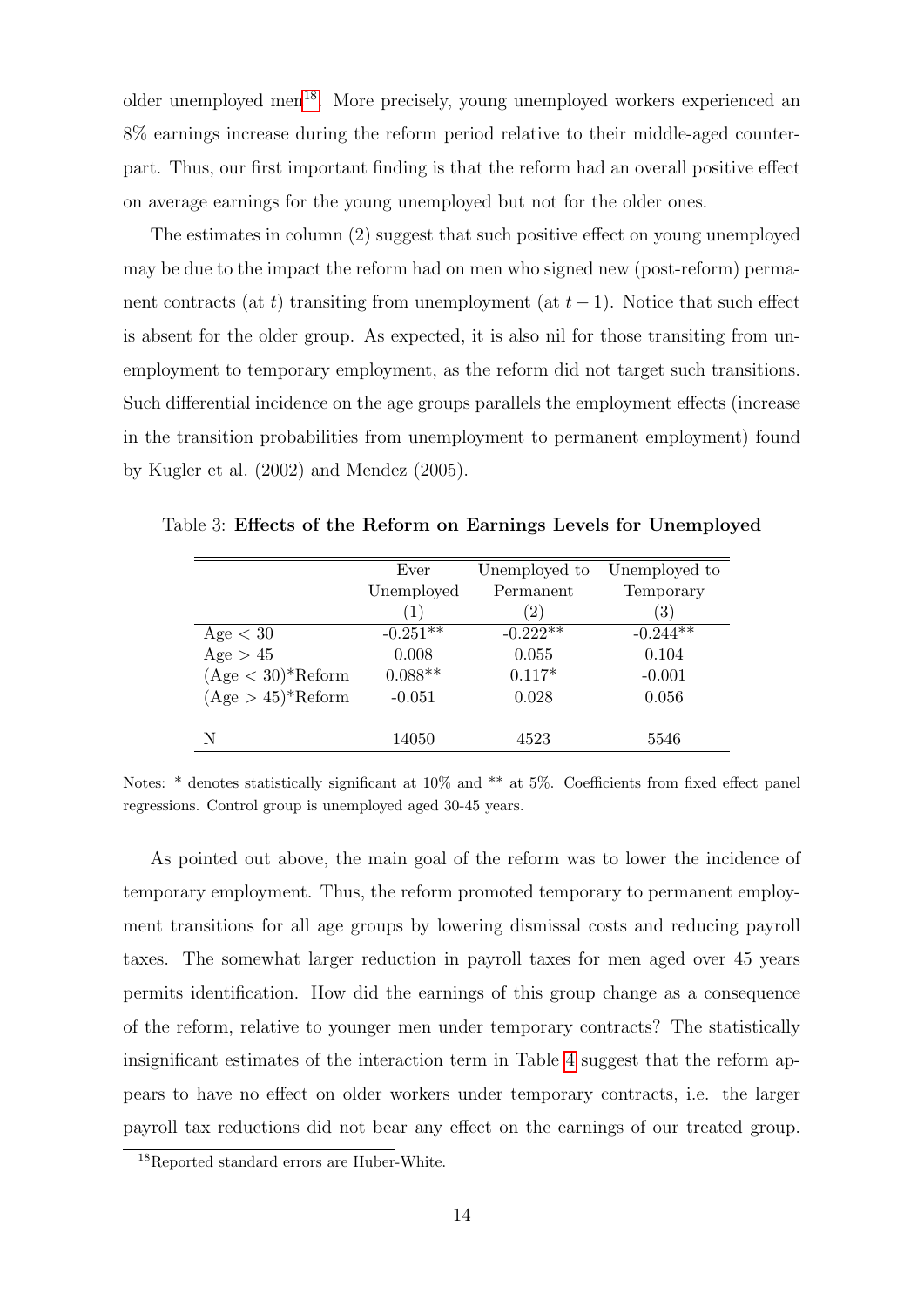older unemployed men<sup>[18](#page-13-1)</sup>. More precisely, young unemployed workers experienced an 8% earnings increase during the reform period relative to their middle-aged counterpart. Thus, our first important finding is that the reform had an overall positive effect on average earnings for the young unemployed but not for the older ones.

The estimates in column (2) suggest that such positive effect on young unemployed may be due to the impact the reform had on men who signed new (post-reform) permanent contracts (at t) transiting from unemployment (at  $t-1$ ). Notice that such effect is absent for the older group. As expected, it is also nil for those transiting from unemployment to temporary employment, as the reform did not target such transitions. Such differential incidence on the age groups parallels the employment effects (increase in the transition probabilities from unemployment to permanent employment) found by Kugler et al. (2002) and Mendez (2005).

<span id="page-13-0"></span>

|                                  | Ever       | Unemployed to     | Unemployed to     |
|----------------------------------|------------|-------------------|-------------------|
|                                  | Unemployed | Permanent         | Temporary         |
|                                  | (1)        | $\left( 2\right)$ | $\left( 3\right)$ |
| Age < 30                         | $-0.251**$ | $-0.222**$        | $-0.244**$        |
| Age $> 45$                       | 0.008      | 0.055             | 0.104             |
| $(Age < 30)$ <sup>*</sup> Reform | $0.088**$  | $0.117*$          | $-0.001$          |
| $(Age > 45)$ <sup>*</sup> Reform | $-0.051$   | 0.028             | 0.056             |
|                                  |            |                   |                   |
| N                                | 14050      | 4523              | 5546              |

Table 3: Effects of the Reform on Earnings Levels for Unemployed

As pointed out above, the main goal of the reform was to lower the incidence of temporary employment. Thus, the reform promoted temporary to permanent employment transitions for all age groups by lowering dismissal costs and reducing payroll taxes. The somewhat larger reduction in payroll taxes for men aged over 45 years permits identification. How did the earnings of this group change as a consequence of the reform, relative to younger men under temporary contracts? The statistically insignificant estimates of the interaction term in Table [4](#page-14-1) suggest that the reform appears to have no effect on older workers under temporary contracts, i.e. the larger payroll tax reductions did not bear any effect on the earnings of our treated group.

Notes: \* denotes statistically significant at 10% and \*\* at 5%. Coefficients from fixed effect panel regressions. Control group is unemployed aged 30-45 years.

<span id="page-13-1"></span><sup>18</sup>Reported standard errors are Huber-White.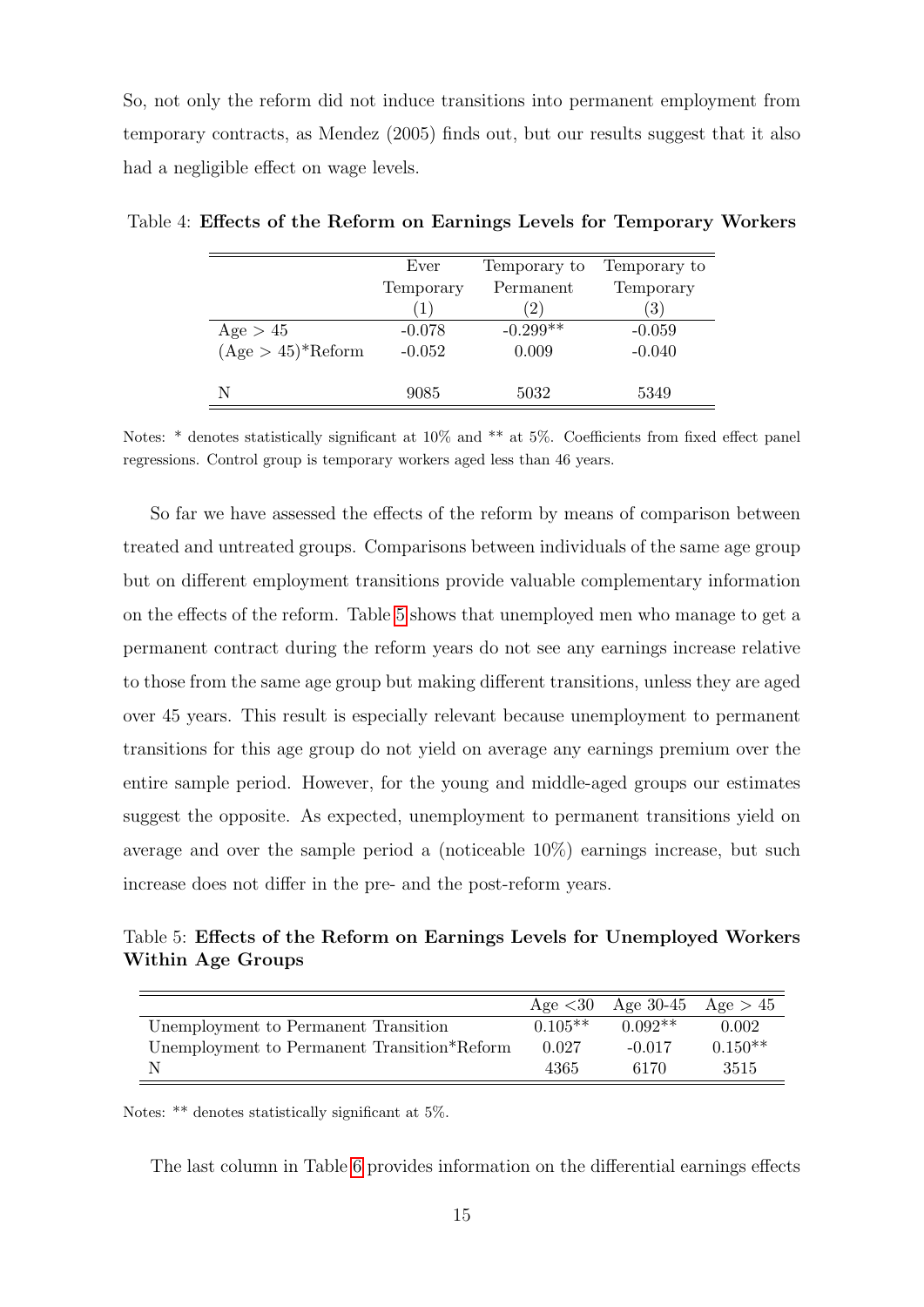So, not only the reform did not induce transitions into permanent employment from temporary contracts, as Mendez (2005) finds out, but our results suggest that it also had a negligible effect on wage levels.

<span id="page-14-1"></span>

|                                  | Ever             | Temporary to      | Temporary to      |
|----------------------------------|------------------|-------------------|-------------------|
|                                  | Temporary        | Permanent         | Temporary         |
|                                  | $\left(1\right)$ | $\left( 2\right)$ | $\left( 3\right)$ |
| Age > 45                         | $-0.078$         | $-0.299**$        | $-0.059$          |
| $(Age > 45)$ <sup>*</sup> Reform | $-0.052$         | 0.009             | $-0.040$          |
|                                  |                  |                   |                   |
| N                                | 9085             | 5032              | 5349              |

Table 4: Effects of the Reform on Earnings Levels for Temporary Workers

Notes: \* denotes statistically significant at 10% and \*\* at 5%. Coefficients from fixed effect panel regressions. Control group is temporary workers aged less than 46 years.

So far we have assessed the effects of the reform by means of comparison between treated and untreated groups. Comparisons between individuals of the same age group but on different employment transitions provide valuable complementary information on the effects of the reform. Table [5](#page-14-0) shows that unemployed men who manage to get a permanent contract during the reform years do not see any earnings increase relative to those from the same age group but making different transitions, unless they are aged over 45 years. This result is especially relevant because unemployment to permanent transitions for this age group do not yield on average any earnings premium over the entire sample period. However, for the young and middle-aged groups our estimates suggest the opposite. As expected, unemployment to permanent transitions yield on average and over the sample period a (noticeable 10%) earnings increase, but such increase does not differ in the pre- and the post-reform years.

<span id="page-14-0"></span>Table 5: Effects of the Reform on Earnings Levels for Unemployed Workers Within Age Groups

|                                             |           | Age $<30$ Age 30-45 Age $>45$ |           |
|---------------------------------------------|-----------|-------------------------------|-----------|
| Unemployment to Permanent Transition        | $0.105**$ | $0.092**$                     | 0.002     |
| Unemployment to Permanent Transition*Reform | 0.027     | $-0.017$                      | $0.150**$ |
|                                             | 4365      | 6170                          | 3515      |

Notes: \*\* denotes statistically significant at 5%.

The last column in Table [6](#page-15-0) provides information on the differential earnings effects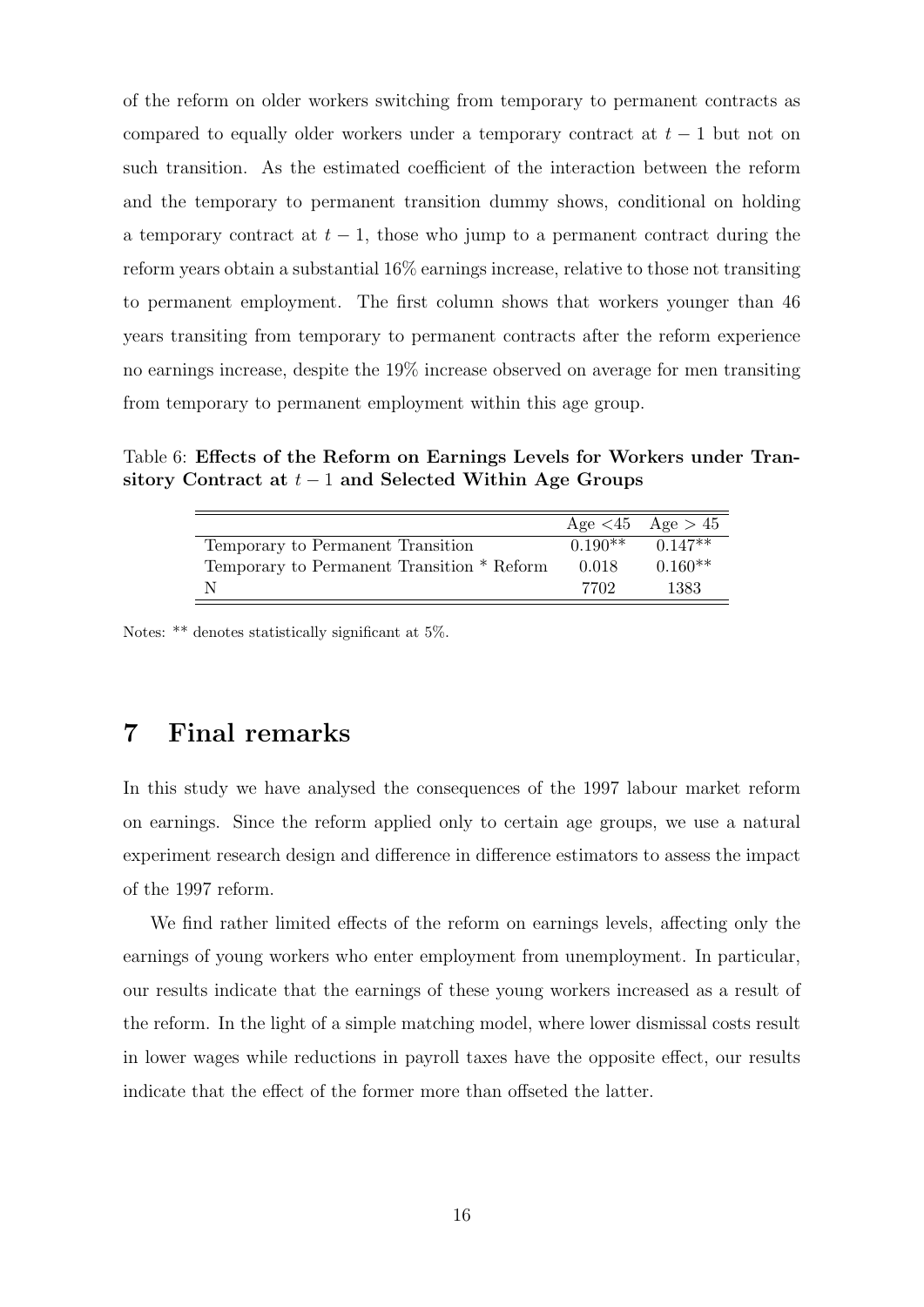of the reform on older workers switching from temporary to permanent contracts as compared to equally older workers under a temporary contract at  $t-1$  but not on such transition. As the estimated coefficient of the interaction between the reform and the temporary to permanent transition dummy shows, conditional on holding a temporary contract at  $t-1$ , those who jump to a permanent contract during the reform years obtain a substantial 16% earnings increase, relative to those not transiting to permanent employment. The first column shows that workers younger than 46 years transiting from temporary to permanent contracts after the reform experience no earnings increase, despite the 19% increase observed on average for men transiting from temporary to permanent employment within this age group.

Table 6: Effects of the Reform on Earnings Levels for Workers under Transitory Contract at  $t-1$  and Selected Within Age Groups

<span id="page-15-0"></span>

|                                            |       | Age $\lt 45$ Age $> 45$ |
|--------------------------------------------|-------|-------------------------|
| Temporary to Permanent Transition          |       | $0.190**$ $0.147**$     |
| Temporary to Permanent Transition * Reform | 0.018 | $0.160**$               |
| N                                          | 7702  | 1383                    |

Notes: \*\* denotes statistically significant at 5%.

## 7 Final remarks

In this study we have analysed the consequences of the 1997 labour market reform on earnings. Since the reform applied only to certain age groups, we use a natural experiment research design and difference in difference estimators to assess the impact of the 1997 reform.

We find rather limited effects of the reform on earnings levels, affecting only the earnings of young workers who enter employment from unemployment. In particular, our results indicate that the earnings of these young workers increased as a result of the reform. In the light of a simple matching model, where lower dismissal costs result in lower wages while reductions in payroll taxes have the opposite effect, our results indicate that the effect of the former more than offseted the latter.